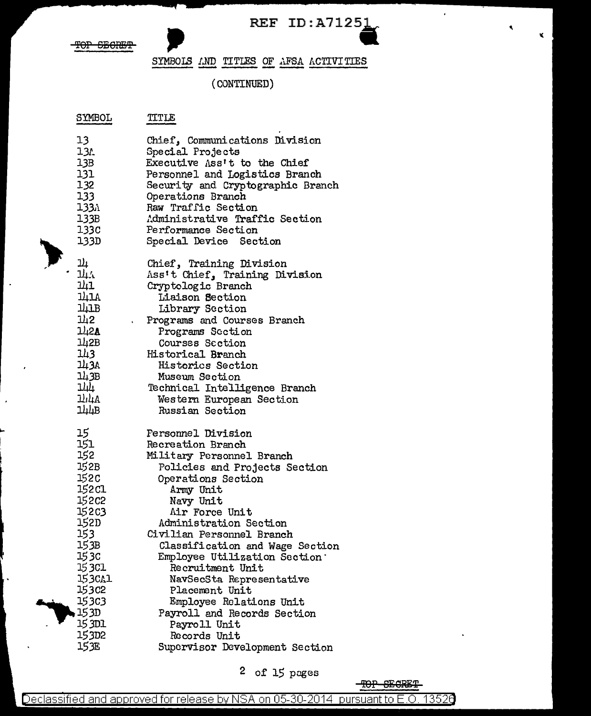

 $\epsilon$ 

¥.

 $\ddot{\phantom{a}}$ 

#### SYMBOLS AND TITLES OF AFSA ACTIVITIES

#### (CONTINUED)

#### SYMBOL TITLE

| 13                                                                                                                         | Chief, Communications Division                                                                                                                                                                                                                                                                                                                  |
|----------------------------------------------------------------------------------------------------------------------------|-------------------------------------------------------------------------------------------------------------------------------------------------------------------------------------------------------------------------------------------------------------------------------------------------------------------------------------------------|
| 13 <sub>L</sub>                                                                                                            | Special Projects                                                                                                                                                                                                                                                                                                                                |
| 13B                                                                                                                        | Executive Ass't to the Chief                                                                                                                                                                                                                                                                                                                    |
| 131                                                                                                                        | Personnel and Logistics Branch                                                                                                                                                                                                                                                                                                                  |
| 132                                                                                                                        | Security and Cryptographic Branch                                                                                                                                                                                                                                                                                                               |
| 133                                                                                                                        | Operations Branch                                                                                                                                                                                                                                                                                                                               |
| 1331 l                                                                                                                     | Raw Traffic Section                                                                                                                                                                                                                                                                                                                             |
| 133B                                                                                                                       | Administrative Traffic Section                                                                                                                                                                                                                                                                                                                  |
| 133C                                                                                                                       | Performance Section                                                                                                                                                                                                                                                                                                                             |
| 133D -                                                                                                                     | Special Device Section                                                                                                                                                                                                                                                                                                                          |
| <u>ן גר</u><br>ЩA<br>과1<br>141A<br>ЩLB<br>1/2<br>$\mathbf{r}$<br>142A<br>142B<br>143<br>143A<br>143B<br>과고<br>144A<br>144B | Chief, Training Division<br>Ass't Chief, Training Division<br>Cryptologic Branch<br>Liaison Section<br>Library Section<br>Programs and Courses Branch<br>Programs Section<br>Courses Section<br>Historical Branch<br><b>Historics Section</b><br>Museum Section<br>Technical Intelligence Branch<br>Western European Section<br>Russian Section |
| 15                                                                                                                         | Personnel Division                                                                                                                                                                                                                                                                                                                              |
| 151                                                                                                                        | Recreation Branch                                                                                                                                                                                                                                                                                                                               |
| 152                                                                                                                        | Military Personnel Branch                                                                                                                                                                                                                                                                                                                       |
| 152B                                                                                                                       | Policies and Projects Section                                                                                                                                                                                                                                                                                                                   |
| 152c                                                                                                                       | Operations Section                                                                                                                                                                                                                                                                                                                              |
| 152 Cl                                                                                                                     | Army Unit                                                                                                                                                                                                                                                                                                                                       |
| 152C2                                                                                                                      | Navy Unit                                                                                                                                                                                                                                                                                                                                       |
| 152 <sub>C</sub> 3                                                                                                         | Air Force Unit                                                                                                                                                                                                                                                                                                                                  |
| 152D                                                                                                                       | Administration Section                                                                                                                                                                                                                                                                                                                          |
| 153                                                                                                                        | Civilian Personnel Branch                                                                                                                                                                                                                                                                                                                       |
| 153B I                                                                                                                     | Classification and Wage Section                                                                                                                                                                                                                                                                                                                 |
| 15 3c                                                                                                                      | Employee Utilization Section.                                                                                                                                                                                                                                                                                                                   |
| 15 3CL                                                                                                                     | Recruitment Unit                                                                                                                                                                                                                                                                                                                                |
| 15 3CA1                                                                                                                    | NavSecSta Representative                                                                                                                                                                                                                                                                                                                        |
| 153c2                                                                                                                      | Placement Unit                                                                                                                                                                                                                                                                                                                                  |
| 153c3                                                                                                                      | Employee Relations Unit                                                                                                                                                                                                                                                                                                                         |
| 153D                                                                                                                       | Payroll and Records Section                                                                                                                                                                                                                                                                                                                     |
| 15 3D1                                                                                                                     | Payroll Unit                                                                                                                                                                                                                                                                                                                                    |
| 153D <sub>2</sub>                                                                                                          | Records Unit                                                                                                                                                                                                                                                                                                                                    |
| 153E                                                                                                                       | Supervisor Development Section                                                                                                                                                                                                                                                                                                                  |

2 of 15 pages

TOP SECRET

13526 Declassified and approved for release by NSA on 05-30-2014 pursuant to E.O.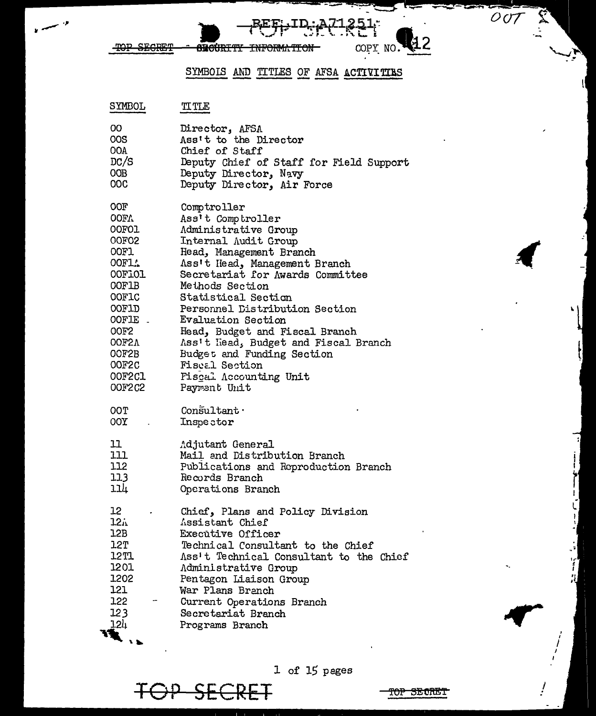<del>SRCÚRITY</del>

SYMBOLS AND TITLES OF AFSA ACTIVITIES

<del>INFORM.</del>

 $251$ 

COPY NO.

(12

 $\overline{OOT}$ 

| SYMBOL                                                                                  | TITLE                                                                                                                                                                                                                                                                                                |
|-----------------------------------------------------------------------------------------|------------------------------------------------------------------------------------------------------------------------------------------------------------------------------------------------------------------------------------------------------------------------------------------------------|
| OO.                                                                                     | Director, AFSA                                                                                                                                                                                                                                                                                       |
| 00S                                                                                     | Ass't to the Director                                                                                                                                                                                                                                                                                |
| OOA.                                                                                    | Chief of Staff                                                                                                                                                                                                                                                                                       |
| DC/S                                                                                    | Deputy Chief of Staff for Field Support                                                                                                                                                                                                                                                              |
| OOB DOOR                                                                                | Deputy Director, Navy                                                                                                                                                                                                                                                                                |
| 00C                                                                                     | Deputy Director, Air Force                                                                                                                                                                                                                                                                           |
| <b>OOF</b>                                                                              | Comptroller                                                                                                                                                                                                                                                                                          |
| OOFA.                                                                                   | Ass't Comptroller                                                                                                                                                                                                                                                                                    |
| <b>OOFOL</b>                                                                            | Administrative Group                                                                                                                                                                                                                                                                                 |
| <b>OOFO2</b>                                                                            | Internal Audit Group                                                                                                                                                                                                                                                                                 |
| OOF1.                                                                                   | Head, Management Branch                                                                                                                                                                                                                                                                              |
| 00F1.                                                                                   | Ass't Head, Management Branch                                                                                                                                                                                                                                                                        |
| OOFIOL                                                                                  | Secretariat for Awards Committee                                                                                                                                                                                                                                                                     |
| OOF1B                                                                                   | Methods Section                                                                                                                                                                                                                                                                                      |
| <b>OOFIC</b>                                                                            | Statistical Section                                                                                                                                                                                                                                                                                  |
| OOF1D                                                                                   | Personnel Distribution Section                                                                                                                                                                                                                                                                       |
| OOFIE -                                                                                 | <b>Evaluation Section</b>                                                                                                                                                                                                                                                                            |
| <b>OOF2</b>                                                                             | Head, Budget and Fiscal Branch                                                                                                                                                                                                                                                                       |
| OOF2A                                                                                   | Ass't Head, Budget and Fiscal Branch                                                                                                                                                                                                                                                                 |
| OOF2B                                                                                   | Budget and Funding Section                                                                                                                                                                                                                                                                           |
| OOF2C                                                                                   | <b>Fiscal Section</b>                                                                                                                                                                                                                                                                                |
| OOF2Cl                                                                                  | <b>Fiscal Accounting Unit</b>                                                                                                                                                                                                                                                                        |
| <b>OOF2C2</b>                                                                           | Payrent Unit                                                                                                                                                                                                                                                                                         |
| OOT                                                                                     | $Con$ sultant $\cdot$                                                                                                                                                                                                                                                                                |
| $00Y$ .                                                                                 | Inspector                                                                                                                                                                                                                                                                                            |
| 11                                                                                      | Adjutant General                                                                                                                                                                                                                                                                                     |
| 111                                                                                     | Mail and Distribution Branch                                                                                                                                                                                                                                                                         |
| 112                                                                                     | Publications and Reproduction Branch                                                                                                                                                                                                                                                                 |
| 113                                                                                     | Records Branch                                                                                                                                                                                                                                                                                       |
| 114                                                                                     | Operations Branch                                                                                                                                                                                                                                                                                    |
| 12<br>۰<br>12i<br>12B<br>12T<br>12T1<br>1201<br>1202<br>121<br>122<br>123<br><u>124</u> | Chief, Plans and Policy Division<br>Assistant Chief<br>Executive Officer<br>Technical Consultant to the Chief<br>Ass't Technical Consultant to the Chief<br>Administrative Group<br>Pentagon Liaison Group<br>War Plans Branch<br>Current Operations Branch<br>Secretariat Branch<br>Programs Branch |

1 of 15 pages

TOP SECRET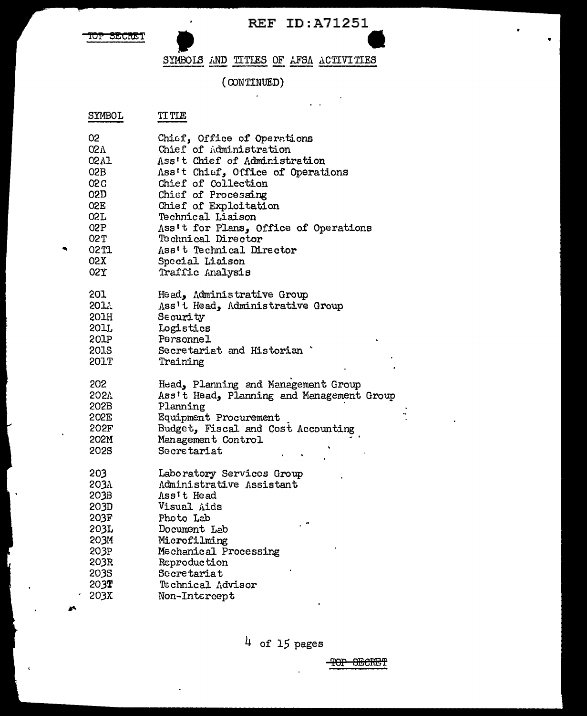$\cdot$ 

 $\Delta \sim 10^{-11}$ 

TOP SECRET

# SYMBOLS AND TITLES OF AFSA ACTIVITIES

#### $\left(\text{CONTINUED}\right)$  $\epsilon$

| SYMBOL | TT TLE |
|--------|--------|
|--------|--------|

| 02         | Chief, Office of Operations               |
|------------|-------------------------------------------|
| <b>02V</b> | Chief of Administration                   |
| 02A1       | Ass't Chief of Administration             |
| O2B        | Ass't Chief, Office of Operations         |
| <b>02C</b> | Chief of Collection                       |
| 02D        | Chief of Processing                       |
| O2E        | Chief of Exploitation                     |
| 02L        | Technical Liaison                         |
| 02P        | Ass't for Plans, Office of Operations     |
| 02 T       | Technical Director                        |
| 02 TI      | Ass't Technical Director                  |
| 02X        |                                           |
|            | Special Liaison                           |
| 02X        | Traffic Analysis                          |
| 201        | Head, Administrative Group                |
| 2011       | Ass't Head, Administrative Group          |
| 201H       | Security                                  |
| 201L       | Logistics                                 |
| 201P       | Personnel                                 |
| 201S       | Secretariat and Historian                 |
| 201T       | Training                                  |
|            |                                           |
| 202        | Head, Planning and Management Group       |
| 202Y       | Ass't Head, Planning and Management Group |
| 202B       | Planning                                  |
| 202E       | Equipment Procurement                     |
| 202F       | Budget, Fiscal and Cost Accounting        |
| 202M       | Management Control                        |
| 202S       | Secretariat                               |
|            |                                           |
| 203        | Laboratory Services Group                 |
| 2031       | Administrative Assistant                  |
| 203B       | Ass't Head                                |
| 203D       | Visual Aids                               |
| 203F       | Photo Lab                                 |
| 203L       | Document Lab                              |
| 203M       | Microfilming                              |
| 203P       | Mechanical Processing                     |
| 203R       | Reproduction                              |
| 203S       | Secretariat                               |
| 203T       | Technical Advisor                         |
| 203X       | Non-Intercept                             |
|            |                                           |
|            |                                           |

 $4$  of 15 pages

TOP SECRET

AS.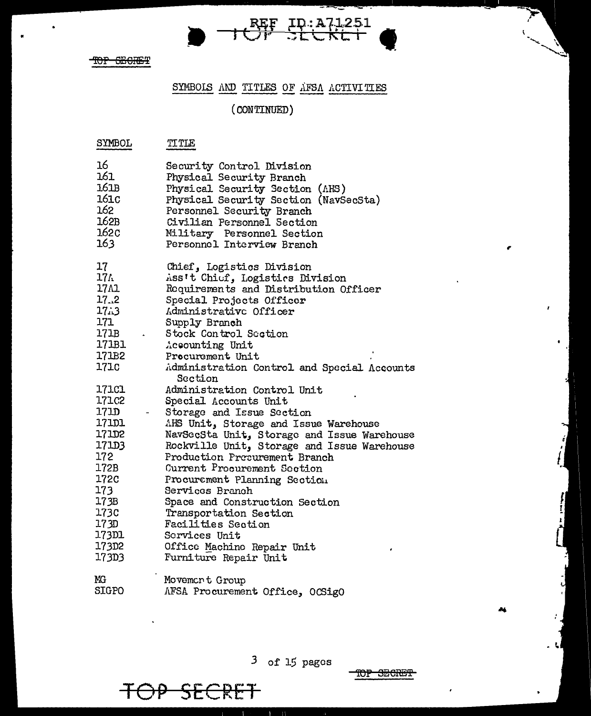# SYMBOLS AND TITLES OF AFSA ACTIVITIES

REF ID:A71251<br>OF SLUKET

# $(CONTINUED)$

| SYMBOL                                                                                                           | TITLE                                                                                                                                                                                                                                                                                                                                                                                                                                                     |
|------------------------------------------------------------------------------------------------------------------|-----------------------------------------------------------------------------------------------------------------------------------------------------------------------------------------------------------------------------------------------------------------------------------------------------------------------------------------------------------------------------------------------------------------------------------------------------------|
| 16                                                                                                               | Security Control Division                                                                                                                                                                                                                                                                                                                                                                                                                                 |
| 161                                                                                                              | Physical Security Branch                                                                                                                                                                                                                                                                                                                                                                                                                                  |
| 161B                                                                                                             | Physical Security Section (AHS)                                                                                                                                                                                                                                                                                                                                                                                                                           |
| 161 <sub>C</sub>                                                                                                 | Physical Security Section (NavSecSta)                                                                                                                                                                                                                                                                                                                                                                                                                     |
| 162                                                                                                              | Personnel Security Branch                                                                                                                                                                                                                                                                                                                                                                                                                                 |
| 162B                                                                                                             | Civilian Personnel Section                                                                                                                                                                                                                                                                                                                                                                                                                                |
| 162c                                                                                                             | Military Personnel Section                                                                                                                                                                                                                                                                                                                                                                                                                                |
| 163.                                                                                                             | Personnel Interview Branch                                                                                                                                                                                                                                                                                                                                                                                                                                |
| 17                                                                                                               | Chief, Logistics Division                                                                                                                                                                                                                                                                                                                                                                                                                                 |
| 174                                                                                                              | Ass't Chief, Logistics Division                                                                                                                                                                                                                                                                                                                                                                                                                           |
| 17 A 1                                                                                                           | Requirements and Distribution Officer                                                                                                                                                                                                                                                                                                                                                                                                                     |
| 17.2                                                                                                             | Special Projects Officer                                                                                                                                                                                                                                                                                                                                                                                                                                  |
| 17.3                                                                                                             | Administrative Officer                                                                                                                                                                                                                                                                                                                                                                                                                                    |
| 171                                                                                                              | Supply Branch                                                                                                                                                                                                                                                                                                                                                                                                                                             |
| 171B                                                                                                             | Stock Control Section                                                                                                                                                                                                                                                                                                                                                                                                                                     |
| 171B1                                                                                                            | Accounting Unit                                                                                                                                                                                                                                                                                                                                                                                                                                           |
| 171B2                                                                                                            | Procurement Unit                                                                                                                                                                                                                                                                                                                                                                                                                                          |
| 171c                                                                                                             | Administration Control and Special Accounts                                                                                                                                                                                                                                                                                                                                                                                                               |
| 17101<br>171C2<br>1710<br>171D1<br>171D2<br>171D3<br>172<br>172B<br>172C<br>173<br>173B<br>173C<br>173D<br>173D1 | Section<br>Administration Control Unit<br>Special Accounts Unit<br>Storage and Issue Section<br>AHS Unit, Storage and Issue Warehouse<br>NavSecSta Unit, Storage and Issue Warehouse<br>Rockville Unit, Storage and Issue Warehouse<br>Production Presurement Branch<br>Current Procurement Section<br>Procurement Planning Section<br>Services Branch<br>Space and Construction Section<br>Transportation Section<br>Facilities Section<br>Scrvices Unit |
| 173D2                                                                                                            | Office Machino Repair Unit                                                                                                                                                                                                                                                                                                                                                                                                                                |
| 173D3                                                                                                            | Furniture Repair Unit                                                                                                                                                                                                                                                                                                                                                                                                                                     |
| MG                                                                                                               | Movement Group                                                                                                                                                                                                                                                                                                                                                                                                                                            |
| <b>SIGPO</b>                                                                                                     | AFSA Procurement Office, OCSigO                                                                                                                                                                                                                                                                                                                                                                                                                           |

 $3$  of 15 pages

OP SECRET

干

<del>TOP SECRET</del>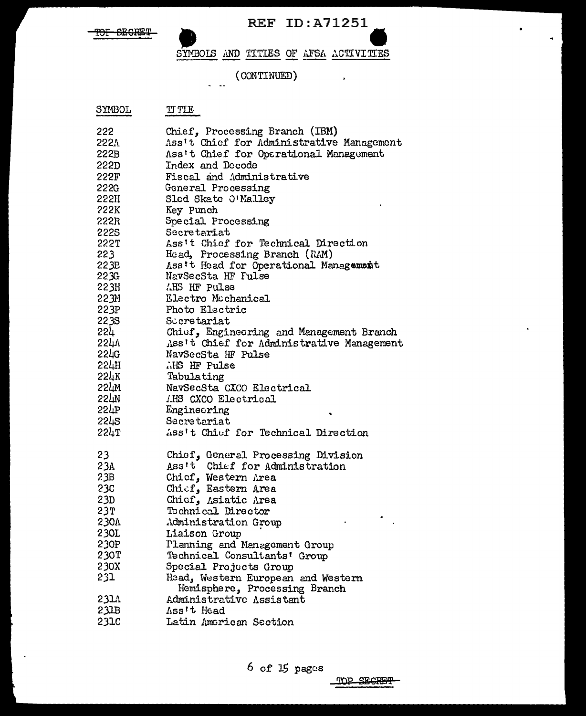

 $\sim 10^{11}$ 

 $\bullet$  .

٠

SYMBOLS AND TITLES OF AFSA ACTIVITIES

(CONTINUED)

 $\ddot{\phantom{a}}$ 

| SYMBOL | TI TLE                                    |
|--------|-------------------------------------------|
| 222    | Chief, Processing Branch (IBM)            |
| 222.N  | Ass't Chief for Administrative Management |
| 222B   | Ass't Chief for Operational Management    |
| 222D   | Index and Decode                          |
| 222F   | Fiscal and Administrative                 |
| 222G   | General Processing                        |
| 222H   | Sled Skate O'Malley                       |
| 222K   | Key Punch                                 |
| 222R   | Special Processing                        |
| 222S   | Secretariat                               |
| 222T   | Ass't Chief for Technical Direction       |
| 223    | Head, Processing Branch (RAM)             |
| 223E   | Ass't Head for Operational Management     |
| 223G   | NavSecSta HF Pulse                        |
| 223H   | AHS HF Pulse                              |
| 223M   | Electro Mcchanical                        |
| 223P   | Photo Electric                            |
| 223S   | Sccretariat                               |
| 224 l  | Chief, Engineering and Management Branch  |
| سا22). | Ass't Chief for Administrative Management |
| 551G   | NavSecSta HF Pulse                        |
| 224H   | AHS HF Pulse                              |
| 224K   | Tabulating                                |
| 224M   | NavSecSta CXCO Electrical                 |
| 224N   | <i>IMS</i> CXCO Electrical                |
| 224P   | Engineering                               |
| 224S   | Secretariat                               |
| 224T   | Ass't Chief for Technical Direction       |
| 23     | Chief, General Processing Division        |
| 23A    | Ass't Chief for Administration            |
| 23B    | Chicf, Western Area                       |
| 23C    | Chief, Eastern Area                       |
| 23D    | Chicf, Asiatic Area                       |
| 23T    | Technical Director                        |
| 230A   | Administration Group                      |
| 230L   | Liaison Group                             |
| 230P   | Planning and Management Group             |
| 230T   | Technical Consultants' Group              |
| 230X   | Special Projects Group                    |
| 231    | Head, Western European and Western        |
|        | Hemisphere, Processing Branch             |
| 231A   | Administrative Assistant                  |
| 231B   | Ass't Head                                |
| 231C   | Latin American Section                    |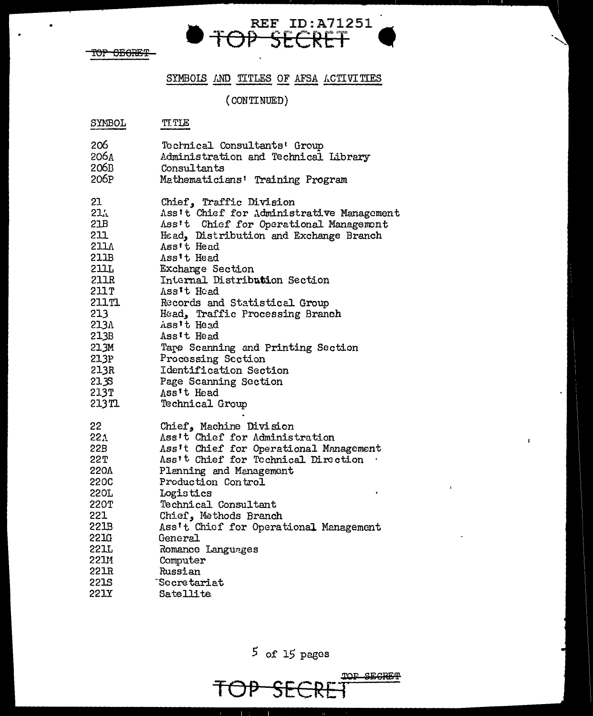

 $\bullet$ 

### SYMBOLS AND TITLES OF AFSA ACTIVITIES

OP SECRET

REF ID:A71251

#### $(CONTINUED)$

र्ने

| SYMBOL      | <b>TITLE</b>                              |
|-------------|-------------------------------------------|
| 206         | Tochnical Consultants' Group              |
| 206 A       | Administration and Technical Library      |
| 206B        | Consultants                               |
| 206P        | Mathematicians' Training Program          |
| 21          | Chief, Traffic Division                   |
| 21.         | Ass't Chief for Administrative Management |
| 21B         | Ass't Chief for Operational Management    |
| 211         | Head, Distribution and Exchange Branch    |
| 211A        | Ass't Head                                |
| 211B        | Ass't Head                                |
| 211L        | <b>Exchange Section</b>                   |
| 211R        | Internal Distribution Section             |
| 211 T       | Ass't Head                                |
| 211T1       | Records and Statistical Group             |
| 213         | Head, Traffic Processing Branch           |
| 213V        | Ass't Head                                |
| 213B        | Ass't Head                                |
| 21.3M       | Tape Scanning and Printing Section        |
| 21.3P       | Processing Section                        |
| 213R        | Identification Section                    |
| 21 3S       | Page Scanning Section                     |
| 213T        | Ass't Head                                |
| 213T1       | Technical Group                           |
| 22          | Chief, Machine Division                   |
| 22.1        | Ass't Chief for Administration            |
| 22B .       | Ass't Chief for Operational Management    |
| 22 T        | Ass't Chief for Technical Direction       |
| 220A        | Planning and Management                   |
| 220C        | Production Control                        |
| 220L        | Logistics                                 |
| 220T        | Technical Consultant                      |
| 221         | Chief, Methods Branch                     |
| 221B        | Ass't Chief for Operational Management    |
| 22IG        | General                                   |
| 22IL        | Romance Languages                         |
| 22111       | Computer                                  |
| 221R        | Russian                                   |
| <b>221S</b> | "Secretariat                              |
| 221Y        | Satellite                                 |

 $5$  of 15 pages

TOP SECRET TOP SE

 $\pmb{\cdot}$ 

ï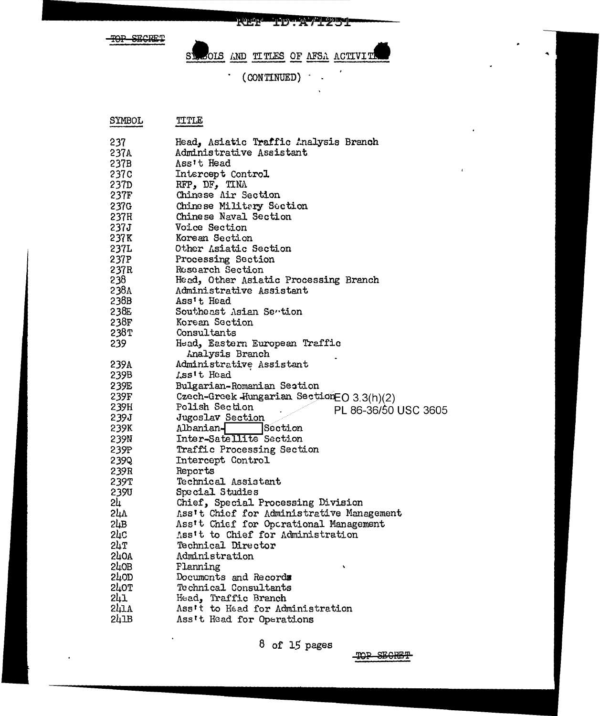**REF-1D:A71251** 

TOP SECRET

SLOOIS AND TITLES OF AFSA ACTIVITY

 $\cdot$  (CONTINUED)  $\cdot$ 

| SYMBOL           | TITLE                                             |
|------------------|---------------------------------------------------|
| 237              | Head, Asiatic Traffic Analysis Branch             |
| 237A             | Administrative Assistant                          |
| 237B             | Ass't Head                                        |
| 237C             | Intercept Control                                 |
| 237D             | RFP, DF, TINA                                     |
| 237F             | Chinese Air Section                               |
| 237G             | Chinese Militery Section                          |
| 237H             | Chinese Naval Section                             |
| 237J -           | <b>Voice Section</b>                              |
| 237K             | Korean Section                                    |
| 237L             | Other Asiatic Section                             |
| 237P             | Processing Section                                |
| 237R             | Research Section                                  |
| 238              | Heed, Other Asiatic Processing Branch             |
| 238A             | Administrative Assistant                          |
| 238B             | Ass't Head                                        |
| 238E             | Southeast Asian Sention                           |
| 238F             | Korean Section                                    |
| 238T             | Consultants                                       |
| 239              | Head, Eastern European Traffic<br>Analysis Branch |
| 239A             | Administrative Assistant                          |
| 239B -           | Lss't Head                                        |
| 239E -           | Bulgarian-Romanian Section                        |
| 239F -           | Czech-Greek Hungarian Section EO 3.3(h)(2)        |
| 239H             | Polish Section                                    |
| 239J             | PL 86-36/50 USC 3605<br>Jugoslav Section          |
| 239K             | Section<br>Albanian-                              |
| 239N             | Inter-Satellite Section                           |
| 239P             | Traffic Processing Section                        |
| 239Q             | Intercept Control                                 |
| 239R             | Reports                                           |
| 239T             | Technical Assistant                               |
| 239U             | Special Studies                                   |
| 24               | Chief, Special Processing Division                |
| 5μv              | Ass't Chief for Administrative Management         |
| 24B              | Ass't Chief for Operational Management            |
| 2կն              | Ass't to Chief for Administration                 |
| 2hT              | Technical Director                                |
| 570V             | Administration                                    |
| 240B             | Flanning                                          |
| 570D             | Documents and Records                             |
| 240T             | Technical Consultants                             |
| 241              | Head, Traffic Branch                              |
| 241 <sub>A</sub> | Ass't to Head for Administration                  |
| 2L1B             | Ass't Head for Operations                         |

 $8$  of 15 pages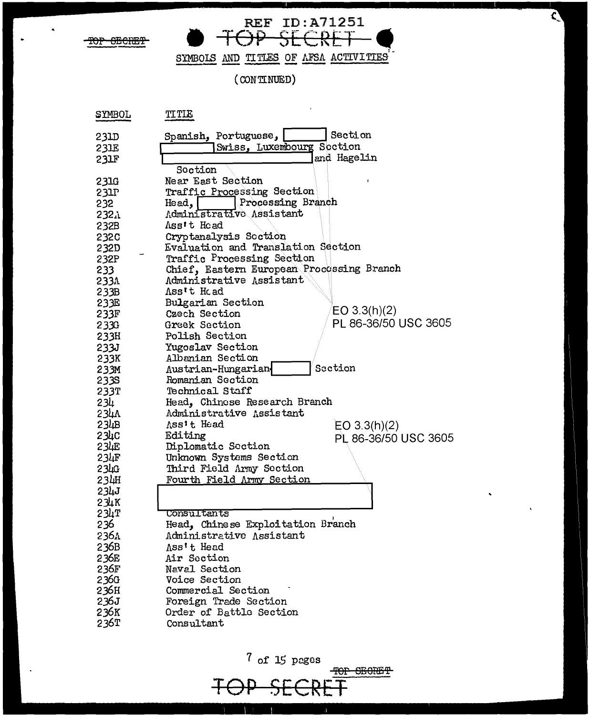REF ID: A71251

SYMBOLS AND TITLES OF AFSA ACTIVITIES

 $(CONTNUED)$ 

| <b>S</b> IWBOT    | JT LTR                                    |
|-------------------|-------------------------------------------|
| 231D              | Section<br>Spanish, Portuguese, [         |
| 23IE              | Swiss, Luxembourg Section                 |
| 231F              | and Hagelin                               |
|                   | Section                                   |
| 231G              | Near East Section                         |
| 231P              | Traffic Processing Section                |
| 232               | Processing Branch<br>Head,                |
| 232 <sub>h</sub>  | Administrative Assistant                  |
| 232B              | Ass't Head                                |
| 232C              | Cryptanalysis Section                     |
| 232D              | Evaluation and Translation Section        |
| 232P              | Traffic Processing Section                |
| $233 -$           | Chief, Eastern European Processing Branch |
| 233A              | Administrative Assistant                  |
| 233B              | Ass't Hoad                                |
| 233E              | Bulgarian Section                         |
| 233F              | EO 3.3(h)(2)<br>Czech Section             |
| 2330              | PL 86-36/50 USC 3605<br>Greek Section     |
| 233H              | Polish Section                            |
| 233J              | Yugoslav Section                          |
| 233K              | Albanian Section                          |
| 233M              | Section<br>Austrian-Hungarian             |
| 233S              | Romanian Section                          |
| 233T              | <b>Technical Staff</b>                    |
| 234               | Head, Chinese Research Branch             |
| 234 <sub>h</sub>  | Administrative Assistant                  |
| 23 <sub>4B</sub>  | Ass't Head<br>EO 3.3(h)(2)                |
| 234C              | Editing<br>PL 86-36/50 USC 3605           |
| 234E              | Diplomatic Section                        |
| 23 <sub>4</sub> F | Unknown Systems Section                   |
| 234G              | Third Field Army Section                  |
| 23 <sub>4</sub> H | Fourth Field Army Section                 |
| 234J              |                                           |
| 234K              |                                           |
| 234T              | Consultants                               |
| 236               | Head, Chinese Exploitation Branch         |
| 236،              | Administrative Assistant                  |
| 236B              | Ass't Head                                |
| 236E              | Air Section                               |
| 236F              | Naval Section                             |
| 236G              | Voice Section                             |
| 236H              | Commercial Section                        |
| 236J              | Foreign Trade Section                     |
| 236K              | Order of Battle Section                   |
| 236T              | Consultant                                |
|                   |                                           |
|                   |                                           |

 $7$  of 15 pages TOP SEGRET TOP  $\frac{1}{2}$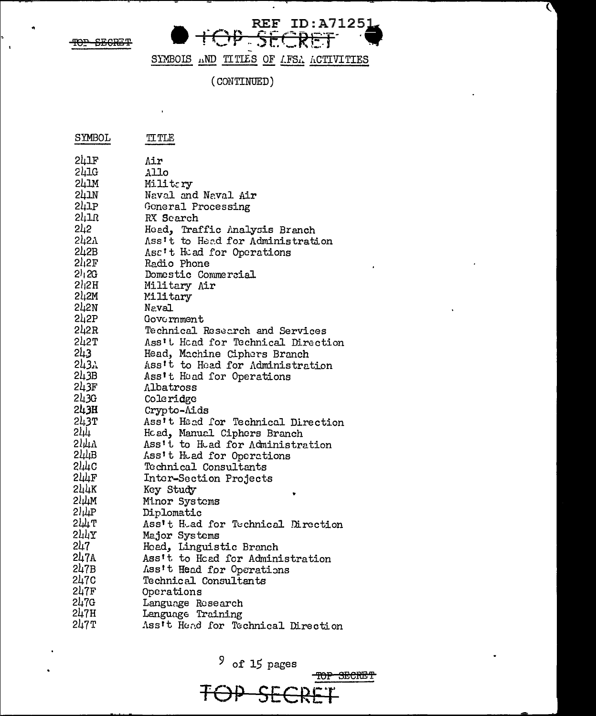$\mathbf{r}$ 

 $\mathbf{1}$ 



 $\bullet$ 

 $\mathbf C$ 

SYMBOLS AND TITLES OF LFSA ACTIVITIES

(CONTINUED)

| SYMBOL                  | TITLE                              |
|-------------------------|------------------------------------|
| 241F                    | Air                                |
| 241G                    | Allo                               |
| 24 I.M                  | Militery                           |
| 241N                    | Naval and Naval Air                |
| 241P                    | Goneral Processing                 |
| $2l_1$ l $R$            | RX Search                          |
| 2կ2                     | Head, Traffic Analysis Branch      |
| 2421                    | Ass't to Head for Administration   |
| 242B                    | Asc't Head for Operations          |
| 21,2F                   | Radio Phone                        |
| $2^{j}$ <sub>1</sub> 2G | Domestic Commercial                |
| 21,2H                   | Military Air                       |
| $2l_12M$                | Military                           |
| 242N                    | Naval                              |
| 2h2P                    | Government                         |
| 242R                    | Technical Research and Services    |
| 242ፓ                    | Ass't Head for Technical Direction |
| 3، با2                  | Head, Machine Ciphers Branch       |
| 243አ                    | Ass't to Head for Administration   |
| 243B                    | Ass't Head for Operations          |
| 243F                    | Albatross                          |
| 243G                    | Coleridge                          |
| 243H                    | Crypto-Aids                        |
| 243T                    | Ass't Head for Technical Direction |
| 2կկ                     | Hoad, Manual Ciphers Branch        |
| 51/14                   | Ass't to Head for Administration   |
| $2 \mu \mathrm{dB}$     | Ass't Head for Operations          |
| 317C                    | Technical Consultants              |
| 244ғ                    | Inter-Section Projects             |
| 244K                    | Key Study                          |
| 244м                    | Minor Systems                      |
| 21 <sub>1</sub> µР      | Diplomatic                         |
| 2Щ ፐ                    | Ass't Head for Technical Direction |
| <b>ST17</b>             | Major Systems                      |
| 247                     | Head, Linguistic Branch            |
| 247A                    | Ass't to Head for Administration   |
| 247B                    | Ass't Head for Operations          |
| 247c                    | Technical Consultants              |
| 247F                    | Operations                         |
| 247G                    | Language Research                  |
| 247H                    | Language Training                  |
| 247ፐ                    | Ass't Head for Technical Direction |

 $9$  of 15 pages

TOP SECRET

FOP SE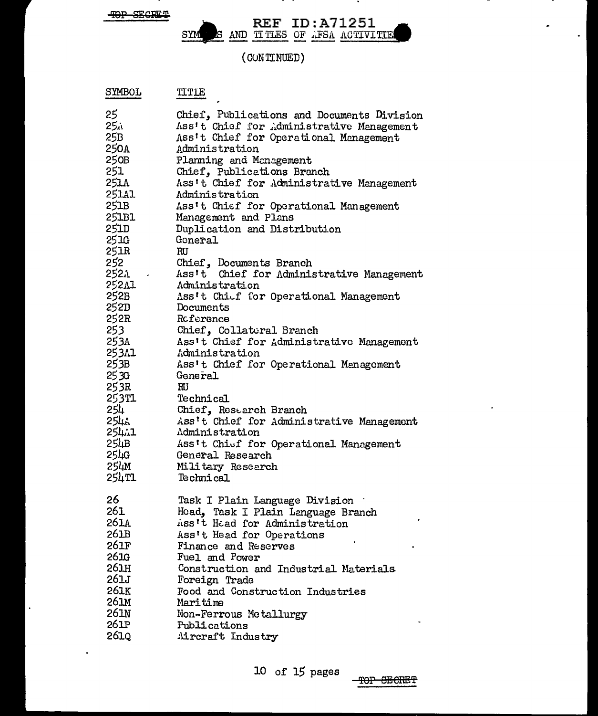$\ddot{\phantom{a}}$ 

### S AND TITLES OF AFSA ACTIVITE SYM

 $\sim$ 

 $\hat{\phantom{a}}$ 

k.

 $\sim$   $\sim$ 

(CONTINUED)

| SYMBOL           | TITLE                                                                                                                             |
|------------------|-----------------------------------------------------------------------------------------------------------------------------------|
| 25<br>∴25<br>25B | Chief, Publications and Documents Division<br>Ass't Chief for Administrative Management<br>Ass't Chief for Operational Management |
| 250a             | Administration                                                                                                                    |
| 250B             | Planning and Management                                                                                                           |
| 251              | Chief, Publications Branch                                                                                                        |
| 251A             | Ass't Chief for Administrative Management                                                                                         |
| 251Al            | <b>Administration</b>                                                                                                             |
| 251B             | Ass't Chief for Operational Management                                                                                            |
| 251B1            | Management and Plans                                                                                                              |
| 251D<br>25 IG    | Duplication and Distribution<br>General                                                                                           |
| 251R             | RU                                                                                                                                |
| 252              | Chief, Documents Branch                                                                                                           |
| 2521 .           | Ass't Chief for Administrative Management                                                                                         |
| 252Al            | Administration                                                                                                                    |
| 252B             | Ass't Chief for Operational Management                                                                                            |
| 252D             | Documents                                                                                                                         |
| 252R             | Reference                                                                                                                         |
| 253              | Chief, Collateral Branch                                                                                                          |
| 253A             | Ass't Chief for Administrative Management                                                                                         |
| 253A1            | Administration                                                                                                                    |
| 253B             | Ass't Chief for Operational Management                                                                                            |
| 25 3G            | General                                                                                                                           |
| 253R             | RU                                                                                                                                |
| 253TL -          | Technical                                                                                                                         |
| 254<br>254A      | Chief, Research Branch<br>Ass't Chief for Administrative Management                                                               |
| 254.1            | Administration                                                                                                                    |
| 254B             | Ass't Chief for Operational Management                                                                                            |
| 254G -           | General Research                                                                                                                  |
| 254м             | Military Research                                                                                                                 |
| 254TI            | Technical                                                                                                                         |
|                  |                                                                                                                                   |
| 26               | Task I Plain Language Division                                                                                                    |
| 261              | Head, Task I Plain Language Branch                                                                                                |
| 261A             | Ass't Head for Administration                                                                                                     |
| 261B<br>261F     | Ass't Head for Operations                                                                                                         |
| 261G             | Finance and Reserves<br>Fuel and Power                                                                                            |
| 261H             | Construction and Industrial Materials                                                                                             |
| 261J             | Foreign Trade                                                                                                                     |
| 261K             | Food and Construction Industries                                                                                                  |
| 261M             | Maritime                                                                                                                          |
| 261N             | Non-Ferrous Metallurgy                                                                                                            |
| 261P             | Publications                                                                                                                      |
| 261Q             | Aircraft Industry                                                                                                                 |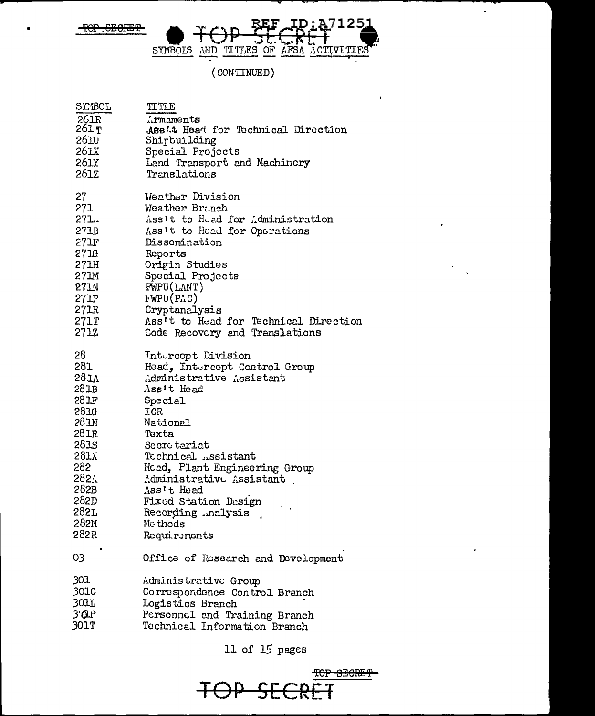$-$ SEOFET ᠆ᡛᡋᢪ



 $\hat{\mathcal{L}}$ 

 $\cdot$ 

 $\cdot$ 

 $\epsilon$ 

# (CONTINUED)

| 2T.ROT | <b>TT TTF</b>                         |
|--------|---------------------------------------|
| 261R   | irmaments                             |
| 261 T  | ABB't Head for Technical Direction    |
| 261U   | Shirbuilding                          |
| 261X   | Special Projects                      |
| 261Y - | Land Transport and Machinery          |
| 261Z   | Translations                          |
| 27     | Weather Division                      |
| 271    | Weather Branch                        |
| 271.   | Ass't to Head for Administration      |
| 271B   | Ass't to Head for Operations          |
| 271F   | Dissemination                         |
| 27 I.G | Reports                               |
| 271H   | Origin Studies                        |
| 271M   | Special Projects                      |
| 271N   | FWPU(LMIT)                            |
| 27 IP  | FWPU(PAC)                             |
| 271R   | Cryptanalysis                         |
| 271T   | Ass't to Head for Technical Direction |
| 2712   | Code Recovery and Translations        |
| 28     | Intercopt Division                    |
| 281    | Head, Intercept Control Group         |
| 281    | Administrative Assistant              |
| 281B   | Ass't Head                            |
| 281F   | Special                               |
| 281G   | ICR                                   |
| 281N   | National                              |
| 281R   | Texta                                 |
| 281S   | Secretariat                           |
| 281X   | Technical <i>Assistant</i>            |
| 282    | Hoad, Plant Engineering Group         |
| 2821   | Administrative Assistant              |
| 282B   | Ass't Head                            |
| 282D   | Fixed Station Design                  |
| 282L   | Recording .malysis                    |
| 282M   | Mcthods                               |
| 282R   | Requirements                          |
| 03     | Office of Rusearch and Development    |
| 301    | Administrative Group                  |
| 301C   | Correspondence Control Branch         |
| 301L   | Logistics Branch                      |
| 3 Q.P  | Personnel and Training Branch         |
| 301T   | Technical Information Branch          |

11 of  $15$  pages

TOP SECRET  $\rightarrow$ Ė.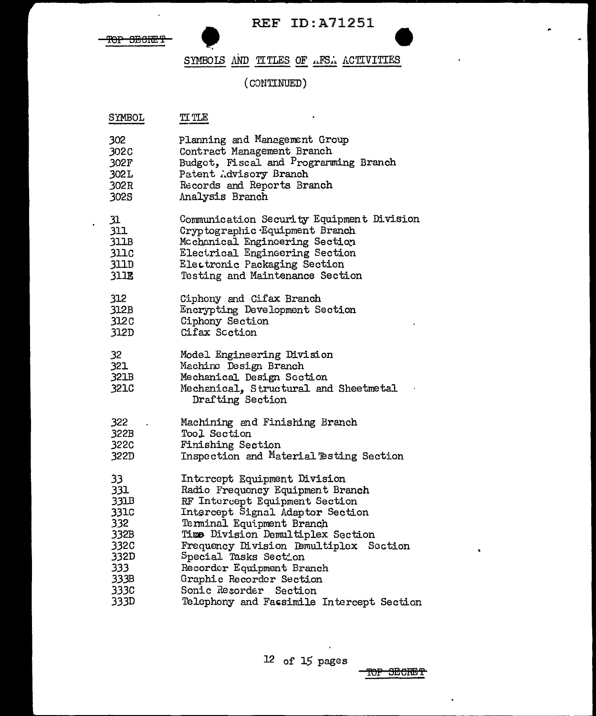

 $\ddot{\phantom{a}}$ 

 $\hat{\mathbf{r}}$ 

# SYMBOLS AND TITLES OF AFSA ACTIVITIES

# $($  CONTINUED $)$

| SYMBOL                    | TI TLE                                                                                                                                        |
|---------------------------|-----------------------------------------------------------------------------------------------------------------------------------------------|
| 302                       | Planning and Management Group                                                                                                                 |
| 302C                      | Contract Management Branch                                                                                                                    |
| 302F                      | Budget, Fiscal and Programming Branch                                                                                                         |
| 302 L                     | Patent Advisory Branch                                                                                                                        |
| 302R                      | Records and Reports Branch                                                                                                                    |
| 302S                      | Analysis Branch                                                                                                                               |
| 31                        | Communication Security Equipment Division                                                                                                     |
| 311                       | Cryptographic Equipment Branch                                                                                                                |
| 311B                      | Mcchanical Engineering Section                                                                                                                |
| 311c                      | Electrical Engineering Section                                                                                                                |
| 311D                      | Electronic Packaging Section                                                                                                                  |
| 311E                      | Testing and Maintenance Section                                                                                                               |
| 312                       | Ciphony and Cifax Branch                                                                                                                      |
| 312B                      | Encrypting Development Section                                                                                                                |
| 312C                      | Ciphony Section                                                                                                                               |
| 312D                      | Cifax Scction                                                                                                                                 |
| 32<br>321<br>321B<br>321C | Model Engineering Division<br>Machine Design Branch<br>Mechanical Design Section<br>Mechanical, Structural and Sheetmetal<br>Drafting Section |
| 322                       | Machining and Finishing Branch                                                                                                                |
| 322B                      | Tool Section                                                                                                                                  |
| 322C                      | Finishing Section                                                                                                                             |
| 322D                      | Inspection and Material Testing Section                                                                                                       |
| 33.                       | Intcreept Equipment Division                                                                                                                  |
| 331                       | Radio Frequency Equipment Branch                                                                                                              |
| $33$ l $B$                | RF Intercept Equipment Section                                                                                                                |
| 331c                      | Intercept Signal Adaptor Section                                                                                                              |
| 332                       | Terminal Equipment Branch                                                                                                                     |
| 332B                      | Time Division Demultiplex Section                                                                                                             |
| 332C                      | Frequency Division Demultiplex Section                                                                                                        |
| 332D                      | Special Tasks Section                                                                                                                         |
| 333                       | Recorder Equipment Branch                                                                                                                     |
| 333B                      | Graphic Recorder Section                                                                                                                      |
| 333C                      | Sonic Resorder Section                                                                                                                        |
| 333D                      | Telephony and Fassimile Intercept Section                                                                                                     |

 $\Delta$ 

TOP SECRET

 $\ddot{\phantom{a}}$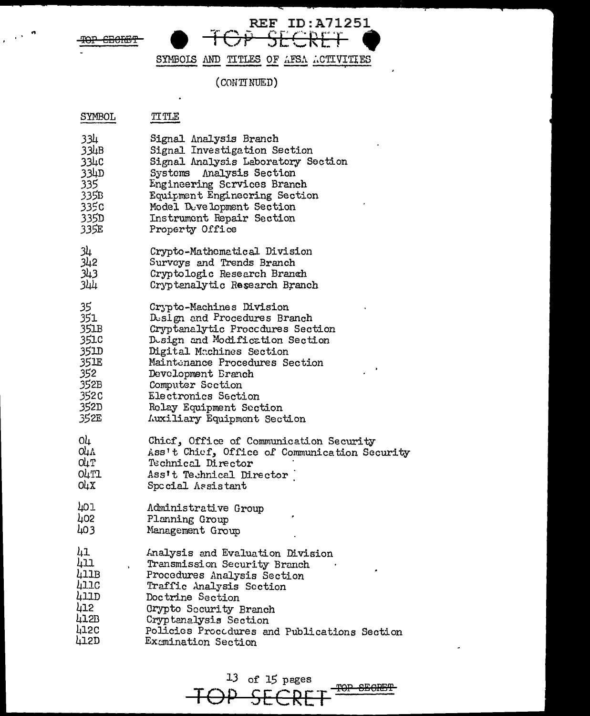TOP CECKET

 $\mathcal{L}$ 

REF ID: A71251 TOP SECRET

 $\hat{\mathbf{r}}$ 

SYMBOLS AND TITLES OF AFSA ACTIVITIES

 $(CONTINUED)$ 

| SYMBOL | TITLE |
|--------|-------|
|        |       |

 $\bullet$ 

| 334               | Signal Analysis Branch                        |
|-------------------|-----------------------------------------------|
| 334B              | Signal Investigation Section                  |
| 33 <sub>4</sub> c | Signal Analysis Laboratory Section            |
| 33 <sub>4D</sub>  | Systems Analysis Section                      |
| 335.              | Engineering Scrvices Branch                   |
| 335B              | Equipment Enginecring Section                 |
| 335c              | Model Development Section                     |
| 335D              | Instrument Repair Section                     |
| 335E              | Property Office                               |
| 34                | Crypto-Mathematical Division                  |
| 342               | Surveys and Trends Branch                     |
| 343               | Cryptologic Research Branch                   |
| باللا             | Cryptenalytic Research Branch                 |
| 35                | Crypto-Machines Division                      |
| 351               | Design and Procedures Branch                  |
| 351B              | Cryptanalytic Proccdures Section              |
| 351.C             | Design and Modification Section               |
| 351D              | Digital Machines Section                      |
| 35 IE             | Maintenance Procedures Section                |
| 352               | Development Branch                            |
| 352B              | Computer Section                              |
| 352 <sub>C</sub>  | Electronics Section                           |
| 352D              | Relay Equipment Section                       |
| 352E              | Auxiliary Equipment Section                   |
| 04                | Chicf, Office of Communication Security       |
| O4A               | Ass't Chief, Office of Communication Security |
| O4T               | Technical Director                            |
| <b>O4T1</b>       | Ass't Technical Director                      |
| O4X               | Special Assistant                             |
| 401               | Administrative Group                          |
| 402               | Planning Group                                |
| 403               | Management Group                              |
| 41                | Analysis and Evaluation Division              |
| 411               | Transmission Security Branch                  |
| 411B              | Procedures Analysis Section                   |
| 411C              | Traffic Analysis Section                      |
| 411D              | Doctrine Section                              |
| 412               | Crypto Security Branch                        |
| 412B              | Cryptanalysis Section                         |
| 412C              | Policies Procedures and Publications Section  |
| 412D              | Examination Section                           |

 $13$  of 15 pages TOP SEGRET TOP SECRET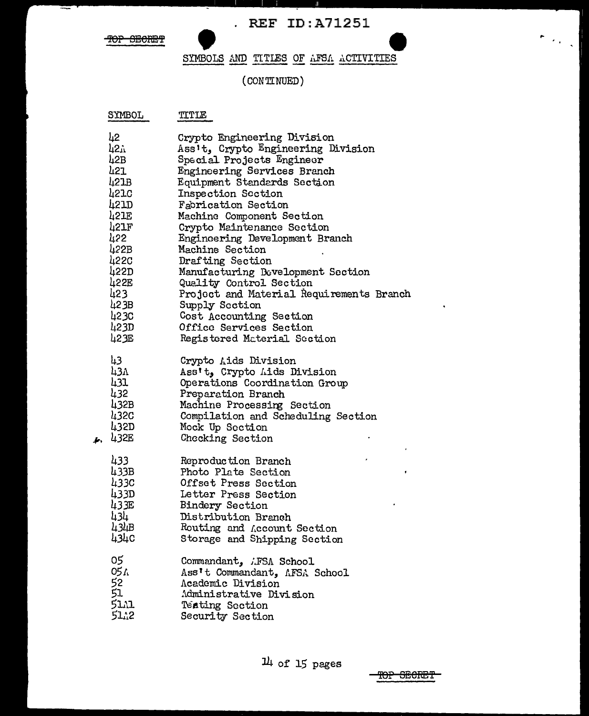$\left\vert \cdot \right\rangle _{i=1}^{k}$ 

TOP SECRET

#### SYMBOLS AND TITLES OF AFSA ACTIVITIES

#### (CONTINUED)

 $\mathbf{r}$ 

| SYMBOL   | TITIE                                    |
|----------|------------------------------------------|
| 42       | Crypto Engineering Division              |
| ի2դ      | Ass't, Crypto Engineering Division       |
| 42B      | Special Projects Engineer                |
| 421      | Engineering Services Branch              |
| 421B     | <b>Equipment Standards Section</b>       |
| 4210     | Inspection Section                       |
| 42 ID    | Fabrication Section                      |
| 421E     | Machine Component Section                |
| 421F     | Crypto Maintenance Section               |
| 422      | Engineering Development Branch           |
| 422B     | Machine Section                          |
| 422C     | Drafting Section                         |
| 422D     | Manufacturing Development Section        |
| 422E     | Quality Control Section                  |
| 423      | Project and Material Requirements Branch |
| 42 3B    | Supply Section                           |
| 4230     | Cost Accounting Section                  |
| 423D     | Office Services Section                  |
| 423E     | Registered Material Section              |
| 43       | Crypto Aids Division                     |
| 43л      | Ass't, Crypto Lids Division              |
| 431      | Operations Coordination Group            |
| 432      | Preparation Branch                       |
| 432B     | Machine Processing Section               |
| 432C     | Compilation and Scheduling Section       |
| 432D     | Mock Up Section                          |
| 432E     | Checking Section                         |
| 433      | Reproduction Branch                      |
| 433B     | Photo Plate Section                      |
| 433C     | Offset Press Section                     |
| 433D     | Letter Press Section                     |
| 433E     | <b>Bindery Section</b>                   |
| 434      | Distribution Branch                      |
| 434B     | Routing and Account Section              |
| 434c     | Storage and Shipping Section             |
| 05       | Commandant, AFSA School                  |
| 05 /     | Ass't Commandant, AFSA School            |
| 52<br>51 | Academic Division                        |
|          | Administrative Division                  |
| 51.A1    | <b>Teating Section</b>                   |
| 51.12    | Security Section                         |